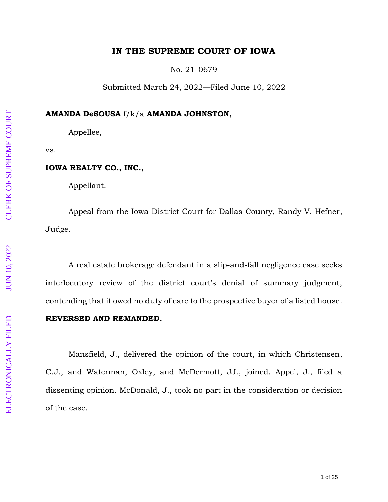## **IN THE SUPREME COURT OF IOWA**

No. 21 –0679

Submitted March 24, 2022 —Filed June 10, 202 2

## **AMANDA DeSOUSA** f/k/a **AMANDA JOHNSTON ,**

Appellee,

vs.

## **IOWA REALTY CO., INC. ,**

Appellant.

Appeal from the Iowa District Court for Dallas County, Randy V. Hefner, Judge.

A real estate brokerage defendant in a slip -and -fall negligence case seeks interlocutory review of the district court's denial of summary judgment, contending that it owed no duty of care to the prospective buyer of a listed house.

## **REVERSED AND REMANDED.**

Mansfield, J., delivered the opinion of the court , in which Christensen, C.J., and Waterman, Oxley, and McDermott, JJ., joined. Appel, J., filed a dissenting opinion. McDonald, J., took no part in the consideration or decision of the case.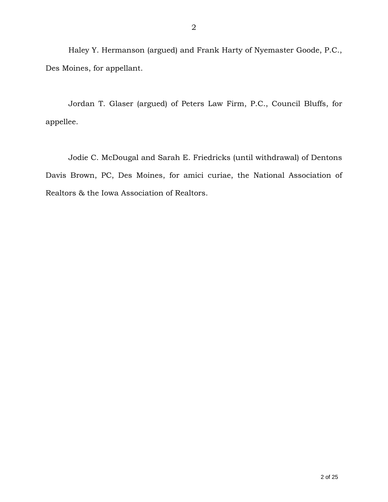Haley Y. Hermanson (argued) and Frank Harty of Nyemaster Goode, P.C., Des Moines, for appellant.

Jordan T. Glaser (argued) of Peters Law Firm, P.C., Council Bluffs, for appellee.

Jodie C. McDougal and Sarah E. Friedricks (until withdrawal) of Dentons Davis Brown, PC, Des Moines, for amici curiae, the National Association of Realtors & the Iowa Association of Realtors.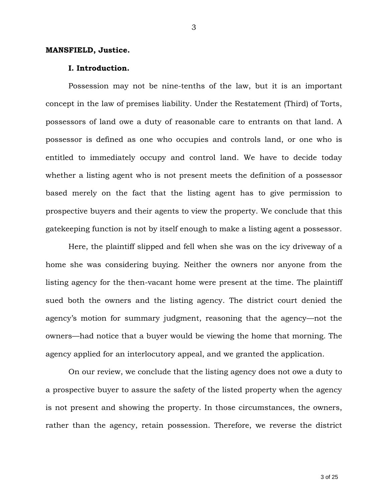#### **MANSFIELD, Justice.**

#### **I. Introduction.**

Possession may not be nine-tenths of the law, but it is an important concept in the law of premises liability. Under the Restatement (Third) of Torts, possessors of land owe a duty of reasonable care to entrants on that land. A possessor is defined as one who occupies and controls land, or one who is entitled to immediately occupy and control land. We have to decide today whether a listing agent who is not present meets the definition of a possessor based merely on the fact that the listing agent has to give permission to prospective buyers and their agents to view the property. We conclude that this gatekeeping function is not by itself enough to make a listing agent a possessor.

Here, the plaintiff slipped and fell when she was on the icy driveway of a home she was considering buying. Neither the owners nor anyone from the listing agency for the then-vacant home were present at the time. The plaintiff sued both the owners and the listing agency. The district court denied the agency's motion for summary judgment, reasoning that the agency—not the owners—had notice that a buyer would be viewing the home that morning. The agency applied for an interlocutory appeal, and we granted the application.

On our review, we conclude that the listing agency does not owe a duty to a prospective buyer to assure the safety of the listed property when the agency is not present and showing the property. In those circumstances, the owners, rather than the agency, retain possession. Therefore, we reverse the district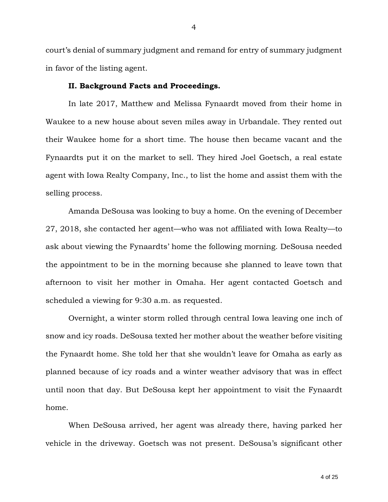court's denial of summary judgment and remand for entry of summary judgment in favor of the listing agent.

#### **II. Background Facts and Proceedings.**

In late 2017, Matthew and Melissa Fynaardt moved from their home in Waukee to a new house about seven miles away in Urbandale. They rented out their Waukee home for a short time. The house then became vacant and the Fynaardts put it on the market to sell. They hired Joel Goetsch, a real estate agent with Iowa Realty Company, Inc., to list the home and assist them with the selling process.

Amanda DeSousa was looking to buy a home. On the evening of December 27, 2018, she contacted her agent—who was not affiliated with Iowa Realty—to ask about viewing the Fynaardts' home the following morning. DeSousa needed the appointment to be in the morning because she planned to leave town that afternoon to visit her mother in Omaha. Her agent contacted Goetsch and scheduled a viewing for 9:30 a.m. as requested.

Overnight, a winter storm rolled through central Iowa leaving one inch of snow and icy roads. DeSousa texted her mother about the weather before visiting the Fynaardt home. She told her that she wouldn't leave for Omaha as early as planned because of icy roads and a winter weather advisory that was in effect until noon that day. But DeSousa kept her appointment to visit the Fynaardt home.

When DeSousa arrived, her agent was already there, having parked her vehicle in the driveway. Goetsch was not present. DeSousa's significant other

4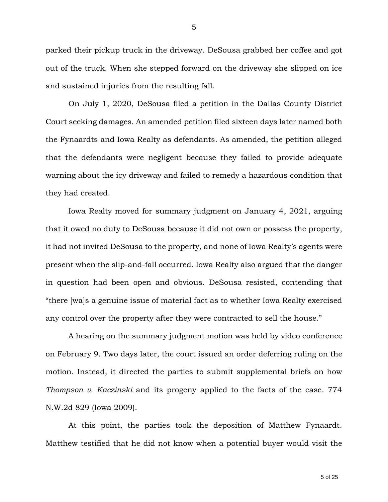parked their pickup truck in the driveway. DeSousa grabbed her coffee and got out of the truck. When she stepped forward on the driveway she slipped on ice and sustained injuries from the resulting fall.

On July 1, 2020, DeSousa filed a petition in the Dallas County District Court seeking damages. An amended petition filed sixteen days later named both the Fynaardts and Iowa Realty as defendants. As amended, the petition alleged that the defendants were negligent because they failed to provide adequate warning about the icy driveway and failed to remedy a hazardous condition that they had created.

Iowa Realty moved for summary judgment on January 4, 2021, arguing that it owed no duty to DeSousa because it did not own or possess the property, it had not invited DeSousa to the property, and none of Iowa Realty's agents were present when the slip-and-fall occurred. Iowa Realty also argued that the danger in question had been open and obvious. DeSousa resisted, contending that "there [wa]s a genuine issue of material fact as to whether Iowa Realty exercised any control over the property after they were contracted to sell the house."

A hearing on the summary judgment motion was held by video conference on February 9. Two days later, the court issued an order deferring ruling on the motion. Instead, it directed the parties to submit supplemental briefs on how *Thompson v. Kaczinski* and its progeny applied to the facts of the case. 774 N.W.2d 829 (Iowa 2009).

At this point, the parties took the deposition of Matthew Fynaardt. Matthew testified that he did not know when a potential buyer would visit the

5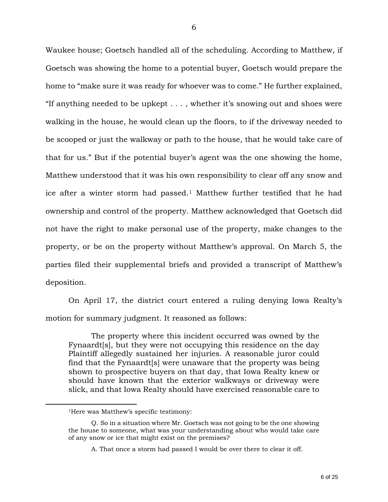Waukee house; Goetsch handled all of the scheduling. According to Matthew, if Goetsch was showing the home to a potential buyer, Goetsch would prepare the home to "make sure it was ready for whoever was to come." He further explained, "If anything needed to be upkept . . . , whether it's snowing out and shoes were walking in the house, he would clean up the floors, to if the driveway needed to be scooped or just the walkway or path to the house, that he would take care of that for us." But if the potential buyer's agent was the one showing the home, Matthew understood that it was his own responsibility to clear off any snow and ice after a winter storm had passed. <sup>1</sup> Matthew further testified that he had ownership and control of the property. Matthew acknowledged that Goetsch did not have the right to make personal use of the property, make changes to the property, or be on the property without Matthew's approval. On March 5, the parties filed their supplemental briefs and provided a transcript of Matthew's deposition.

On April 17, the district court entered a ruling denying Iowa Realty's motion for summary judgment. It reasoned as follows:

The property where this incident occurred was owned by the Fynaardt[s], but they were not occupying this residence on the day Plaintiff allegedly sustained her injuries. A reasonable juror could find that the Fynaardt[s] were unaware that the property was being shown to prospective buyers on that day, that Iowa Realty knew or should have known that the exterior walkways or driveway were slick, and that Iowa Realty should have exercised reasonable care to

 $\overline{a}$ 

<sup>1</sup>Here was Matthew's specific testimony:

Q. So in a situation where Mr. Goetsch was not going to be the one showing the house to someone, what was your understanding about who would take care of any snow or ice that might exist on the premises?

A. That once a storm had passed I would be over there to clear it off.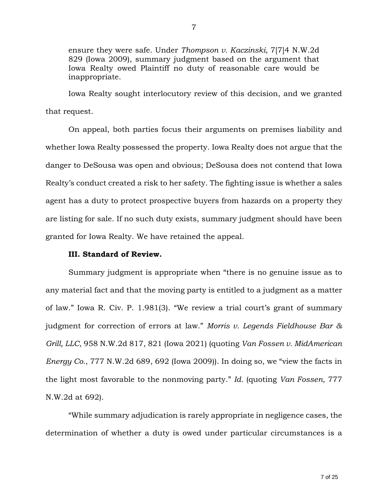ensure they were safe. Under *Thompson v. Kaczinski*, 7[7]4 N.W.2d 829 (Iowa 2009), summary judgment based on the argument that Iowa Realty owed Plaintiff no duty of reasonable care would be inappropriate.

Iowa Realty sought interlocutory review of this decision, and we granted that request.

On appeal, both parties focus their arguments on premises liability and whether Iowa Realty possessed the property. Iowa Realty does not argue that the danger to DeSousa was open and obvious; DeSousa does not contend that Iowa Realty's conduct created a risk to her safety. The fighting issue is whether a sales agent has a duty to protect prospective buyers from hazards on a property they are listing for sale. If no such duty exists, summary judgment should have been granted for Iowa Realty. We have retained the appeal.

## **III. Standard of Review.**

Summary judgment is appropriate when "there is no genuine issue as to any material fact and that the moving party is entitled to a judgment as a matter of law." Iowa R. Civ. P. 1.981(3). "We review a trial court's grant of summary judgment for correction of errors at law." *Morris v. Legends Fieldhouse Bar & Grill, LLC*, 958 N.W.2d 817, 821 (Iowa 2021) (quoting *Van Fossen v. MidAmerican Energy Co.*, 777 N.W.2d 689, 692 (Iowa 2009)). In doing so, we "view the facts in the light most favorable to the nonmoving party." *Id.* (quoting *Van Fossen*, 777 N.W.2d at 692).

"While summary adjudication is rarely appropriate in negligence cases, the determination of whether a duty is owed under particular circumstances is a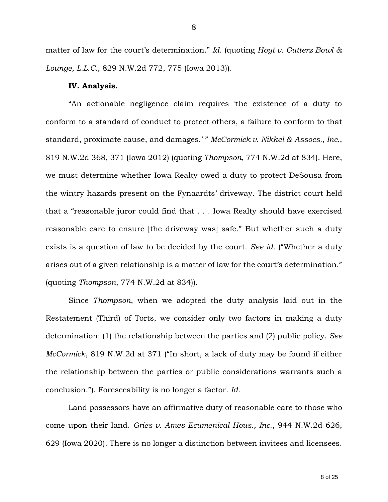matter of law for the court's determination." *Id.* (quoting *Hoyt v. Gutterz Bowl & Lounge, L.L.C.*, 829 N.W.2d 772, 775 (Iowa 2013)).

## **IV. Analysis.**

"An actionable negligence claim requires 'the existence of a duty to conform to a standard of conduct to protect others, a failure to conform to that standard, proximate cause, and damages.' " *McCormick v. Nikkel & Assocs., Inc.*, 819 N.W.2d 368, 371 (Iowa 2012) (quoting *Thompson*, 774 N.W.2d at 834). Here, we must determine whether Iowa Realty owed a duty to protect DeSousa from the wintry hazards present on the Fynaardts' driveway. The district court held that a "reasonable juror could find that . . . Iowa Realty should have exercised reasonable care to ensure [the driveway was] safe." But whether such a duty exists is a question of law to be decided by the court. *See id.* ("Whether a duty arises out of a given relationship is a matter of law for the court's determination." (quoting *Thompson*, 774 N.W.2d at 834)).

Since *Thompson*, when we adopted the duty analysis laid out in the Restatement (Third) of Torts, we consider only two factors in making a duty determination: (1) the relationship between the parties and (2) public policy. *See McCormick*, 819 N.W.2d at 371 ("In short, a lack of duty may be found if either the relationship between the parties or public considerations warrants such a conclusion."). Foreseeability is no longer a factor. *Id.* 

Land possessors have an affirmative duty of reasonable care to those who come upon their land. *Gries v. Ames Ecumenical Hous., Inc.*, 944 N.W.2d 626, 629 (Iowa 2020). There is no longer a distinction between invitees and licensees.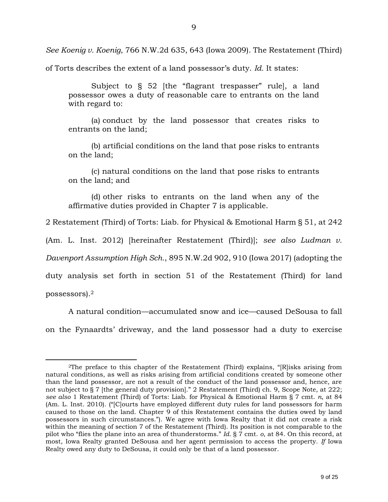*See Koenig v. Koenig*, 766 N.W.2d 635, 643 (Iowa 2009). The Restatement (Third)

of Torts describes the extent of a land possessor's duty. *Id.* It states:

Subject to § 52 [the "flagrant trespasser" rule], a land possessor owes a duty of reasonable care to entrants on the land with regard to:

(a) conduct by the land possessor that creates risks to entrants on the land;

(b) artificial conditions on the land that pose risks to entrants on the land;

(c) natural conditions on the land that pose risks to entrants on the land; and

(d) other risks to entrants on the land when any of the affirmative duties provided in Chapter 7 is applicable.

2 Restatement (Third) of Torts: Liab. for Physical & Emotional Harm § 51, at 242

(Am. L. Inst. 2012) [hereinafter Restatement (Third)]; *see also Ludman v.* 

*Davenport Assumption High Sch.*, 895 N.W.2d 902, 910 (Iowa 2017) (adopting the

duty analysis set forth in section 51 of the Restatement (Third) for land

possessors).<sup>2</sup>

 $\overline{a}$ 

A natural condition—accumulated snow and ice—caused DeSousa to fall on the Fynaardts' driveway, and the land possessor had a duty to exercise

<sup>2</sup>The preface to this chapter of the Restatement (Third) explains, "[R]isks arising from natural conditions, as well as risks arising from artificial conditions created by someone other than the land possessor, are not a result of the conduct of the land possessor and, hence, are not subject to § 7 [the general duty provision]." 2 Restatement (Third) ch. 9, Scope Note, at 222; *see also* 1 Restatement (Third) of Torts: Liab. for Physical & Emotional Harm § 7 cmt. *n*, at 84 (Am. L. Inst. 2010). ("[C]ourts have employed different duty rules for land possessors for harm caused to those on the land. Chapter 9 of this Restatement contains the duties owed by land possessors in such circumstances."). We agree with Iowa Realty that it did not create a risk within the meaning of section 7 of the Restatement (Third). Its position is not comparable to the pilot who "flies the plane into an area of thunderstorms." *Id*. § 7 cmt. *o*, at 84. On this record, at most, Iowa Realty granted DeSousa and her agent permission to access the property. *If* Iowa Realty owed any duty to DeSousa, it could only be that of a land possessor.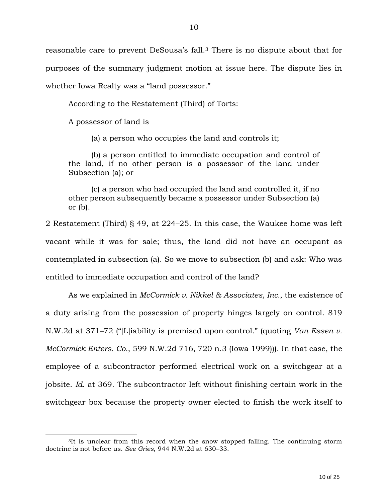reasonable care to prevent DeSousa's fall. <sup>3</sup> There is no dispute about that for purposes of the summary judgment motion at issue here. The dispute lies in whether Iowa Realty was a "land possessor."

According to the Restatement (Third) of Torts:

A possessor of land is

 $\overline{a}$ 

(a) a person who occupies the land and controls it;

(b) a person entitled to immediate occupation and control of the land, if no other person is a possessor of the land under Subsection (a); or

(c) a person who had occupied the land and controlled it, if no other person subsequently became a possessor under Subsection (a) or (b).

2 Restatement (Third) § 49, at 224–25. In this case, the Waukee home was left vacant while it was for sale; thus, the land did not have an occupant as contemplated in subsection (a). So we move to subsection (b) and ask: Who was entitled to immediate occupation and control of the land?

As we explained in *McCormick v. Nikkel & Associates, Inc.*, the existence of a duty arising from the possession of property hinges largely on control. 819 N.W.2d at 371–72 ("[L]iability is premised upon control." (quoting *Van Essen v. McCormick Enters. Co.*, 599 N.W.2d 716, 720 n.3 (Iowa 1999))). In that case, the employee of a subcontractor performed electrical work on a switchgear at a jobsite. *Id.* at 369. The subcontractor left without finishing certain work in the switchgear box because the property owner elected to finish the work itself to

<sup>&</sup>lt;sup>3</sup>It is unclear from this record when the snow stopped falling. The continuing storm doctrine is not before us. *See Gries*, 944 N.W.2d at 630–33.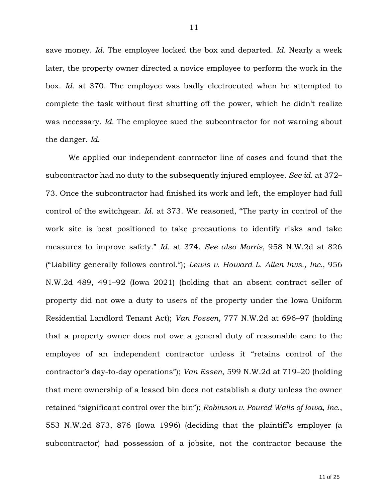save money. *Id.* The employee locked the box and departed. *Id.* Nearly a week later, the property owner directed a novice employee to perform the work in the box. *Id.* at 370. The employee was badly electrocuted when he attempted to complete the task without first shutting off the power, which he didn't realize was necessary. *Id.* The employee sued the subcontractor for not warning about the danger. *Id.*

We applied our independent contractor line of cases and found that the subcontractor had no duty to the subsequently injured employee. *See id.* at 372– 73. Once the subcontractor had finished its work and left, the employer had full control of the switchgear. *Id.* at 373. We reasoned, "The party in control of the work site is best positioned to take precautions to identify risks and take measures to improve safety." *Id.* at 374. *See also Morris*, 958 N.W.2d at 826 ("Liability generally follows control."); *Lewis v. Howard L. Allen Invs., Inc.*, 956 N.W.2d 489, 491–92 (Iowa 2021) (holding that an absent contract seller of property did not owe a duty to users of the property under the Iowa Uniform Residential Landlord Tenant Act); *Van Fossen*, 777 N.W.2d at 696–97 (holding that a property owner does not owe a general duty of reasonable care to the employee of an independent contractor unless it "retains control of the contractor's day-to-day operations"); *Van Essen*, 599 N.W.2d at 719–20 (holding that mere ownership of a leased bin does not establish a duty unless the owner retained "significant control over the bin"); *Robinson v. Poured Walls of Iowa, Inc.*, 553 N.W.2d 873, 876 (Iowa 1996) (deciding that the plaintiff's employer (a subcontractor) had possession of a jobsite, not the contractor because the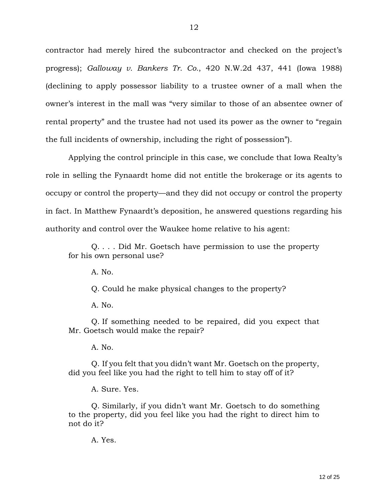contractor had merely hired the subcontractor and checked on the project's progress); *Galloway v. Bankers Tr. Co.*, 420 N.W.2d 437, 441 (Iowa 1988) (declining to apply possessor liability to a trustee owner of a mall when the owner's interest in the mall was "very similar to those of an absentee owner of rental property" and the trustee had not used its power as the owner to "regain the full incidents of ownership, including the right of possession").

Applying the control principle in this case, we conclude that Iowa Realty's role in selling the Fynaardt home did not entitle the brokerage or its agents to occupy or control the property—and they did not occupy or control the property in fact. In Matthew Fynaardt's deposition, he answered questions regarding his authority and control over the Waukee home relative to his agent:

Q. . . . Did Mr. Goetsch have permission to use the property for his own personal use?

A. No.

Q. Could he make physical changes to the property?

 $A. No.$ 

Q. If something needed to be repaired, did you expect that Mr. Goetsch would make the repair?

A. No.

Q. If you felt that you didn't want Mr. Goetsch on the property, did you feel like you had the right to tell him to stay off of it?

A. Sure. Yes.

Q. Similarly, if you didn't want Mr. Goetsch to do something to the property, did you feel like you had the right to direct him to not do it?

A. Yes.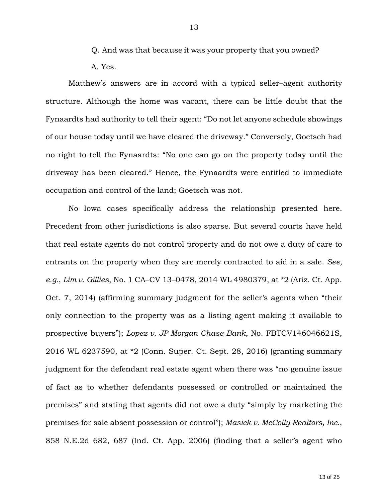- Q. And was that because it was your property that you owned?
- A. Yes.

Matthew's answers are in accord with a typical seller–agent authority structure. Although the home was vacant, there can be little doubt that the Fynaardts had authority to tell their agent: "Do not let anyone schedule showings of our house today until we have cleared the driveway." Conversely, Goetsch had no right to tell the Fynaardts: "No one can go on the property today until the driveway has been cleared." Hence, the Fynaardts were entitled to immediate occupation and control of the land; Goetsch was not.

No Iowa cases specifically address the relationship presented here. Precedent from other jurisdictions is also sparse. But several courts have held that real estate agents do not control property and do not owe a duty of care to entrants on the property when they are merely contracted to aid in a sale. *See, e.g.*, *Lim v. Gillies*, No. 1 CA–CV 13–0478, 2014 WL 4980379, at \*2 (Ariz. Ct. App. Oct. 7, 2014) (affirming summary judgment for the seller's agents when "their only connection to the property was as a listing agent making it available to prospective buyers"); *Lopez v. JP Morgan Chase Bank*, No. FBTCV146046621S, 2016 WL 6237590, at \*2 (Conn. Super. Ct. Sept. 28, 2016) (granting summary judgment for the defendant real estate agent when there was "no genuine issue of fact as to whether defendants possessed or controlled or maintained the premises" and stating that agents did not owe a duty "simply by marketing the premises for sale absent possession or control"); *Masick v. McColly Realtors, Inc.*, 858 N.E.2d 682, 687 (Ind. Ct. App. 2006) (finding that a seller's agent who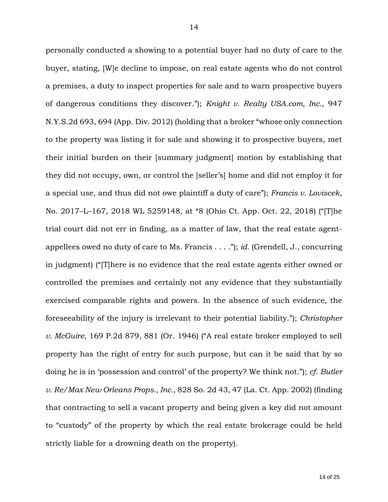personally conducted a showing to a potential buyer had no duty of care to the buyer, stating, [W]e decline to impose, on real estate agents who do not control a premises, a duty to inspect properties for sale and to warn prospective buyers of dangerous conditions they discover."); *Knight v. Realty USA.com, Inc.*, 947 N.Y.S.2d 693, 694 (App. Div. 2012) (holding that a broker "whose only connection to the property was listing it for sale and showing it to prospective buyers, met their initial burden on their [summary judgment] motion by establishing that they did not occupy, own, or control the [seller's] home and did not employ it for a special use, and thus did not owe plaintiff a duty of care"); *Francis v. Loviscek*, No. 2017–L–167, 2018 WL 5259148, at \*8 (Ohio Ct. App. Oct. 22, 2018) ("[T]he trial court did not err in finding, as a matter of law, that the real estate agentappellees owed no duty of care to Ms. Francis . . . ."); *id.* (Grendell, J., concurring in judgment) ("[T]here is no evidence that the real estate agents either owned or controlled the premises and certainly not any evidence that they substantially exercised comparable rights and powers. In the absence of such evidence, the foreseeability of the injury is irrelevant to their potential liability."); *Christopher v. McGuire*, 169 P.2d 879, 881 (Or. 1946) ("A real estate broker employed to sell property has the right of entry for such purpose, but can it be said that by so doing he is in 'possession and control' of the property? We think not."); *cf. Butler v. Re/Max New Orleans Props., Inc.*, 828 So. 2d 43, 47 (La. Ct. App. 2002) (finding that contracting to sell a vacant property and being given a key did not amount to "custody" of the property by which the real estate brokerage could be held strictly liable for a drowning death on the property).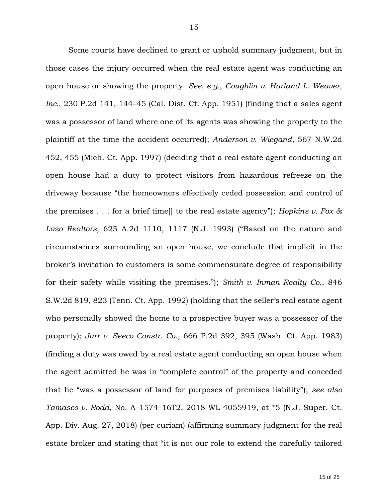Some courts have declined to grant or uphold summary judgment, but in those cases the injury occurred when the real estate agent was conducting an open house or showing the property. *See, e.g.*, *Coughlin v. Harland L. Weaver, Inc.*, 230 P.2d 141, 144–45 (Cal. Dist. Ct. App. 1951) (finding that a sales agent was a possessor of land where one of its agents was showing the property to the plaintiff at the time the accident occurred); *Anderson v. Wiegand*, 567 N.W.2d 452, 455 (Mich. Ct. App. 1997) (deciding that a real estate agent conducting an open house had a duty to protect visitors from hazardous refreeze on the driveway because "the homeowners effectively ceded possession and control of the premises . . . for a brief time[] to the real estate agency"); *Hopkins v. Fox & Lazo Realtors*, 625 A.2d 1110, 1117 (N.J. 1993) ("Based on the nature and circumstances surrounding an open house, we conclude that implicit in the broker's invitation to customers is some commensurate degree of responsibility for their safety while visiting the premises."); *Smith v. Inman Realty Co.*, 846 S.W.2d 819, 823 (Tenn. Ct. App. 1992) (holding that the seller's real estate agent who personally showed the home to a prospective buyer was a possessor of the property); *Jarr v. Seeco Constr. Co.*, 666 P.2d 392, 395 (Wash. Ct. App. 1983) (finding a duty was owed by a real estate agent conducting an open house when the agent admitted he was in "complete control" of the property and conceded that he "was a possessor of land for purposes of premises liability"); *see also Tamasco v. Rodd*, No. A–1574–16T2, 2018 WL 4055919, at \*5 (N.J. Super. Ct. App. Div. Aug. 27, 2018) (per curiam) (affirming summary judgment for the real estate broker and stating that "it is not our role to extend the carefully tailored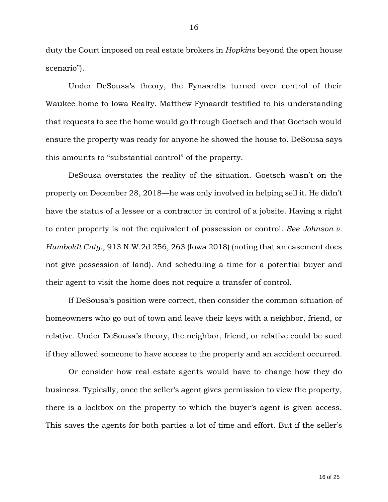duty the Court imposed on real estate brokers in *Hopkins* beyond the open house scenario").

Under DeSousa's theory, the Fynaardts turned over control of their Waukee home to Iowa Realty. Matthew Fynaardt testified to his understanding that requests to see the home would go through Goetsch and that Goetsch would ensure the property was ready for anyone he showed the house to. DeSousa says this amounts to "substantial control" of the property.

DeSousa overstates the reality of the situation. Goetsch wasn't on the property on December 28, 2018—he was only involved in helping sell it. He didn't have the status of a lessee or a contractor in control of a jobsite. Having a right to enter property is not the equivalent of possession or control. *See Johnson v. Humboldt Cnty.*, 913 N.W.2d 256, 263 (Iowa 2018) (noting that an easement does not give possession of land). And scheduling a time for a potential buyer and their agent to visit the home does not require a transfer of control.

If DeSousa's position were correct, then consider the common situation of homeowners who go out of town and leave their keys with a neighbor, friend, or relative. Under DeSousa's theory, the neighbor, friend, or relative could be sued if they allowed someone to have access to the property and an accident occurred.

Or consider how real estate agents would have to change how they do business. Typically, once the seller's agent gives permission to view the property, there is a lockbox on the property to which the buyer's agent is given access. This saves the agents for both parties a lot of time and effort. But if the seller's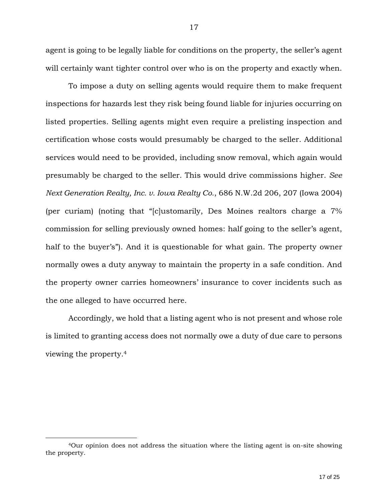agent is going to be legally liable for conditions on the property, the seller's agent will certainly want tighter control over who is on the property and exactly when.

To impose a duty on selling agents would require them to make frequent inspections for hazards lest they risk being found liable for injuries occurring on listed properties. Selling agents might even require a prelisting inspection and certification whose costs would presumably be charged to the seller. Additional services would need to be provided, including snow removal, which again would presumably be charged to the seller. This would drive commissions higher. *See Next Generation Realty, Inc. v. Iowa Realty Co.*, 686 N.W.2d 206, 207 (Iowa 2004) (per curiam) (noting that "[c]ustomarily, Des Moines realtors charge a 7% commission for selling previously owned homes: half going to the seller's agent, half to the buyer's"). And it is questionable for what gain. The property owner normally owes a duty anyway to maintain the property in a safe condition. And the property owner carries homeowners' insurance to cover incidents such as the one alleged to have occurred here.

Accordingly, we hold that a listing agent who is not present and whose role is limited to granting access does not normally owe a duty of due care to persons viewing the property.<sup>4</sup>

 $\overline{a}$ 

<sup>4</sup>Our opinion does not address the situation where the listing agent is on-site showing the property.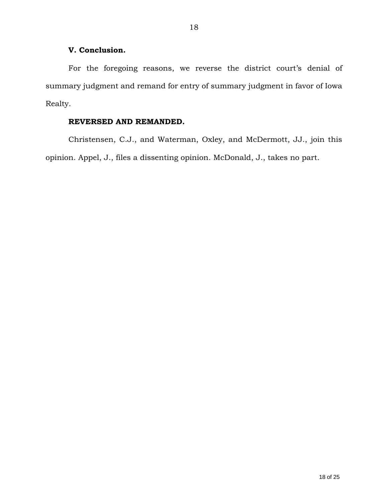## **V. Conclusion.**

For the foregoing reasons, we reverse the district court's denial of summary judgment and remand for entry of summary judgment in favor of Iowa Realty.

## **REVERSED AND REMANDED.**

Christensen, C.J., and Waterman, Oxley, and McDermott, JJ., join this opinion. Appel, J., files a dissenting opinion. McDonald, J., takes no part.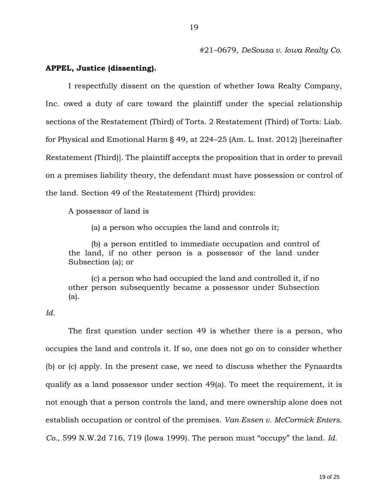#21–0679, *DeSousa v. Iowa Realty Co.*

## **APPEL, Justice (dissenting).**

I respectfully dissent on the question of whether Iowa Realty Company, Inc. owed a duty of care toward the plaintiff under the special relationship sections of the Restatement (Third) of Torts. 2 Restatement (Third) of Torts: Liab. for Physical and Emotional Harm § 49, at 224–25 (Am. L. Inst. 2012) [hereinafter Restatement (Third)]. The plaintiff accepts the proposition that in order to prevail on a premises liability theory, the defendant must have possession or control of the land. Section 49 of the Restatement (Third) provides:

A possessor of land is

(a) a person who occupies the land and controls it;

(b) a person entitled to immediate occupation and control of the land, if no other person is a possessor of the land under Subsection (a); or

(c) a person who had occupied the land and controlled it, if no other person subsequently became a possessor under Subsection (a).

## *Id.*

The first question under section 49 is whether there is a person, who occupies the land and controls it. If so, one does not go on to consider whether (b) or (c) apply. In the present case, we need to discuss whether the Fynaardts qualify as a land possessor under section 49(a). To meet the requirement, it is not enough that a person controls the land, and mere ownership alone does not establish occupation or control of the premises. *Van Essen v. McCormick Enters. Co.*, 599 N.W.2d 716, 719 (Iowa 1999). The person must "occupy" the land. *Id.*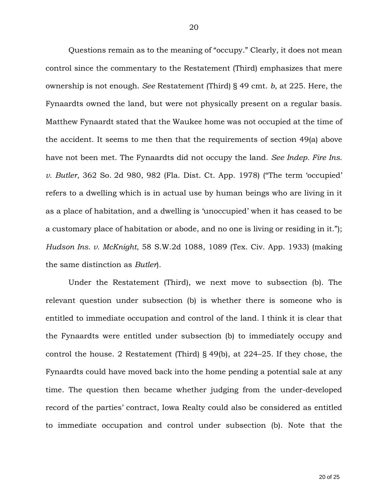Questions remain as to the meaning of "occupy." Clearly, it does not mean control since the commentary to the Restatement (Third) emphasizes that mere ownership is not enough. *See* Restatement (Third) § 49 cmt. *b*, at 225. Here, the Fynaardts owned the land, but were not physically present on a regular basis. Matthew Fynaardt stated that the Waukee home was not occupied at the time of the accident. It seems to me then that the requirements of section 49(a) above have not been met. The Fynaardts did not occupy the land. *See Indep. Fire Ins. v. Butler*, 362 So. 2d 980, 982 (Fla. Dist. Ct. App. 1978) ("The term 'occupied' refers to a dwelling which is in actual use by human beings who are living in it as a place of habitation, and a dwelling is 'unoccupied' when it has ceased to be a customary place of habitation or abode, and no one is living or residing in it."); *Hudson Ins. v. McKnight*, 58 S.W.2d 1088, 1089 (Tex. Civ. App. 1933) (making the same distinction as *Butler*).

Under the Restatement (Third), we next move to subsection (b). The relevant question under subsection (b) is whether there is someone who is entitled to immediate occupation and control of the land. I think it is clear that the Fynaardts were entitled under subsection (b) to immediately occupy and control the house. 2 Restatement (Third) § 49(b), at 224–25. If they chose, the Fynaardts could have moved back into the home pending a potential sale at any time. The question then became whether judging from the under-developed record of the parties' contract, Iowa Realty could also be considered as entitled to immediate occupation and control under subsection (b). Note that the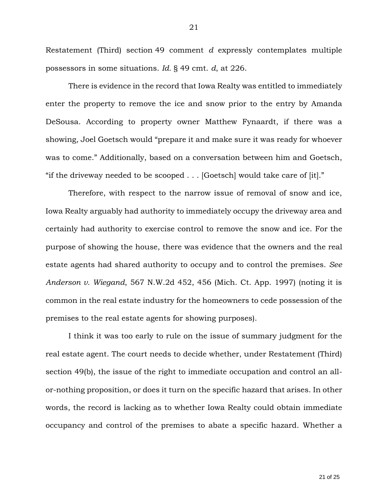Restatement (Third) section 49 comment *d* expressly contemplates multiple possessors in some situations. *Id.* § 49 cmt. *d*, at 226.

There is evidence in the record that Iowa Realty was entitled to immediately enter the property to remove the ice and snow prior to the entry by Amanda DeSousa. According to property owner Matthew Fynaardt, if there was a showing, Joel Goetsch would "prepare it and make sure it was ready for whoever was to come." Additionally, based on a conversation between him and Goetsch, "if the driveway needed to be scooped . . . [Goetsch] would take care of [it]."

Therefore, with respect to the narrow issue of removal of snow and ice, Iowa Realty arguably had authority to immediately occupy the driveway area and certainly had authority to exercise control to remove the snow and ice. For the purpose of showing the house, there was evidence that the owners and the real estate agents had shared authority to occupy and to control the premises. *See Anderson v. Wiegand*, 567 N.W.2d 452, 456 (Mich. Ct. App. 1997) (noting it is common in the real estate industry for the homeowners to cede possession of the premises to the real estate agents for showing purposes).

I think it was too early to rule on the issue of summary judgment for the real estate agent. The court needs to decide whether, under Restatement (Third) section 49(b), the issue of the right to immediate occupation and control an allor-nothing proposition, or does it turn on the specific hazard that arises. In other words, the record is lacking as to whether Iowa Realty could obtain immediate occupancy and control of the premises to abate a specific hazard. Whether a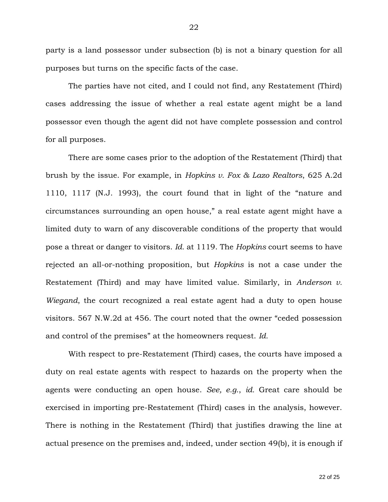party is a land possessor under subsection (b) is not a binary question for all purposes but turns on the specific facts of the case.

The parties have not cited, and I could not find, any Restatement (Third) cases addressing the issue of whether a real estate agent might be a land possessor even though the agent did not have complete possession and control for all purposes.

There are some cases prior to the adoption of the Restatement (Third) that brush by the issue. For example, in *Hopkins v. Fox & Lazo Realtors*, 625 A.2d 1110, 1117 (N.J. 1993), the court found that in light of the "nature and circumstances surrounding an open house," a real estate agent might have a limited duty to warn of any discoverable conditions of the property that would pose a threat or danger to visitors. *Id.* at 1119. The *Hopkins* court seems to have rejected an all-or-nothing proposition, but *Hopkins* is not a case under the Restatement (Third) and may have limited value. Similarly, in *Anderson v. Wiegand*, the court recognized a real estate agent had a duty to open house visitors. 567 N.W.2d at 456. The court noted that the owner "ceded possession and control of the premises" at the homeowners request. *Id.*

With respect to pre-Restatement (Third) cases, the courts have imposed a duty on real estate agents with respect to hazards on the property when the agents were conducting an open house. *See, e.g.*, *id.* Great care should be exercised in importing pre-Restatement (Third) cases in the analysis, however. There is nothing in the Restatement (Third) that justifies drawing the line at actual presence on the premises and, indeed, under section 49(b), it is enough if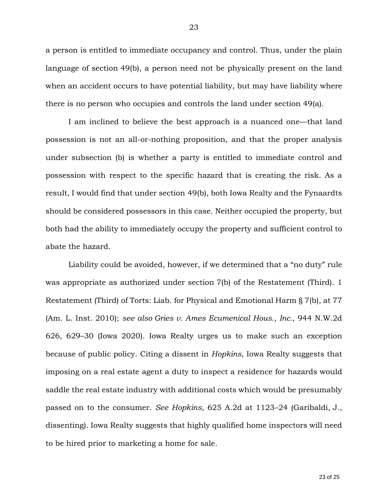a person is entitled to immediate occupancy and control. Thus, under the plain language of section 49(b), a person need not be physically present on the land when an accident occurs to have potential liability, but may have liability where there is no person who occupies and controls the land under section 49(a).

I am inclined to believe the best approach is a nuanced one—that land possession is not an all-or-nothing proposition, and that the proper analysis under subsection (b) is whether a party is entitled to immediate control and possession with respect to the specific hazard that is creating the risk. As a result, I would find that under section 49(b), both Iowa Realty and the Fynaardts should be considered possessors in this case. Neither occupied the property, but both had the ability to immediately occupy the property and sufficient control to abate the hazard.

Liability could be avoided, however, if we determined that a "no duty" rule was appropriate as authorized under section 7(b) of the Restatement (Third). 1 Restatement (Third) of Torts: Liab. for Physical and Emotional Harm § 7(b), at 77 (Am. L. Inst. 2010); *see also Gries v. Ames Ecumenical Hous., Inc.*, 944 N.W.2d 626, 629–30 (Iowa 2020). Iowa Realty urges us to make such an exception because of public policy. Citing a dissent in *Hopkins*, Iowa Realty suggests that imposing on a real estate agent a duty to inspect a residence for hazards would saddle the real estate industry with additional costs which would be presumably passed on to the consumer. *See Hopkins*, 625 A.2d at 1123–24 (Garibaldi, J., dissenting). Iowa Realty suggests that highly qualified home inspectors will need to be hired prior to marketing a home for sale.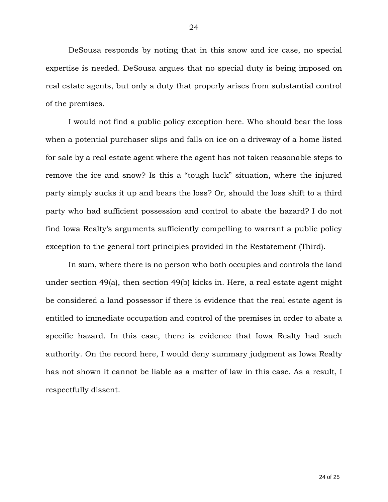DeSousa responds by noting that in this snow and ice case, no special expertise is needed. DeSousa argues that no special duty is being imposed on real estate agents, but only a duty that properly arises from substantial control of the premises.

I would not find a public policy exception here. Who should bear the loss when a potential purchaser slips and falls on ice on a driveway of a home listed for sale by a real estate agent where the agent has not taken reasonable steps to remove the ice and snow? Is this a "tough luck" situation, where the injured party simply sucks it up and bears the loss? Or, should the loss shift to a third party who had sufficient possession and control to abate the hazard? I do not find Iowa Realty's arguments sufficiently compelling to warrant a public policy exception to the general tort principles provided in the Restatement (Third).

In sum, where there is no person who both occupies and controls the land under section 49(a), then section 49(b) kicks in. Here, a real estate agent might be considered a land possessor if there is evidence that the real estate agent is entitled to immediate occupation and control of the premises in order to abate a specific hazard. In this case, there is evidence that Iowa Realty had such authority. On the record here, I would deny summary judgment as Iowa Realty has not shown it cannot be liable as a matter of law in this case. As a result, I respectfully dissent.